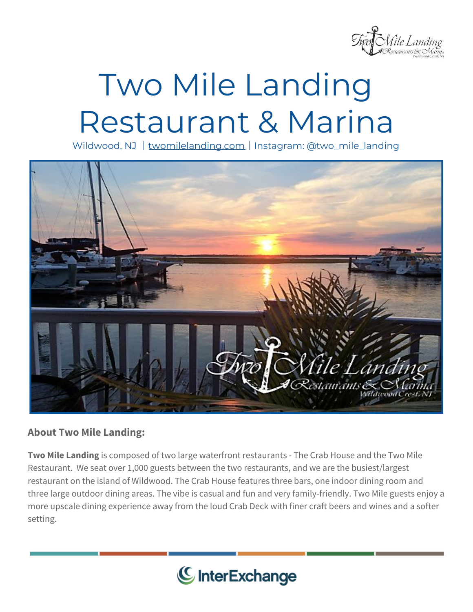

## Two Mile Landing Restaurant & Marina

Wildwood, NJ | [twomilelanding.com](https://www.twomilelanding.com/) | Instagram: @two\_mile\_landing



## **About Two Mile Landing:**

**Two Mile Landing** is composed of two large waterfront restaurants - The Crab House and the Two Mile Restaurant. We seat over 1,000 guests between the two restaurants, and we are the busiest/largest restaurant on the island of Wildwood. The Crab House features three bars, one indoor dining room and three large outdoor dining areas. The vibe is casual and fun and very family-friendly. Two Mile guests enjoy a more upscale dining experience away from the loud Crab Deck with finer craft beers and wines and a softer setting.

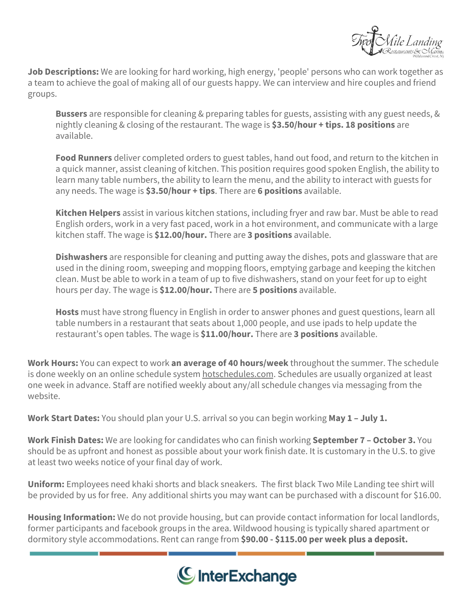

**Job Descriptions:** We are looking for hard working, high energy, 'people' persons who can work together as a team to achieve the goal of making all of our guests happy. We can interview and hire couples and friend groups.

**Bussers** are responsible for cleaning & preparing tables for guests, assisting with any guest needs, & nightly cleaning & closing of the restaurant. The wage is **\$3.50/hour + tips. 18 positions** are available.

**Food Runners** deliver completed orders to guest tables, hand out food, and return to the kitchen in a quick manner, assist cleaning of kitchen. This position requires good spoken English, the ability to learn many table numbers, the ability to learn the menu, and the ability to interact with guests for any needs. The wage is **\$3.50/hour + tips**. There are **6 positions** available.

**Kitchen Helpers** assist in various kitchen stations, including fryer and raw bar. Must be able to read English orders, work in a very fast paced, work in a hot environment, and communicate with a large kitchen staff. The wage is **\$12.00/hour.** There are **3 positions** available.

**Dishwashers** are responsible for cleaning and putting away the dishes, pots and glassware that are used in the dining room, sweeping and mopping floors, emptying garbage and keeping the kitchen clean. Must be able to work in a team of up to five dishwashers, stand on your feet for up to eight hours per day. The wage is **\$12.00/hour.** There are **5 positions** available.

**Hosts** must have strong fluency in English in order to answer phones and guest questions, learn all table numbers in a restaurant that seats about 1,000 people, and use ipads to help update the restaurant's open tables. The wage is **\$11.00/hour.** There are **3 positions** available.

**Work Hours:** You can expect to work **an average of 40 hours/week** throughout the summer. The schedule is done weekly on an online schedule system [hotschedules.com](https://hotschedules.com/). Schedules are usually organized at least one week in advance. Staff are notified weekly about any/all schedule changes via messaging from the website.

**Work Start Dates:** You should plan your U.S. arrival so you can begin working **May 1 – July 1.**

**Work Finish Dates:** We are looking for candidates who can finish working **September 7 – October 3.** You should be as upfront and honest as possible about your work finish date. It is customary in the U.S. to give at least two weeks notice of your final day of work.

**Uniform:** Employees need khaki shorts and black sneakers. The first black Two Mile Landing tee shirt will be provided by us for free. Any additional shirts you may want can be purchased with a discount for \$16.00.

**Housing Information:** We do not provide housing, but can provide contact information for local landlords, former participants and facebook groups in the area. Wildwood housing is typically shared apartment or dormitory style accommodations. Rent can range from **\$90.00 - \$115.00 per week plus a deposit.**